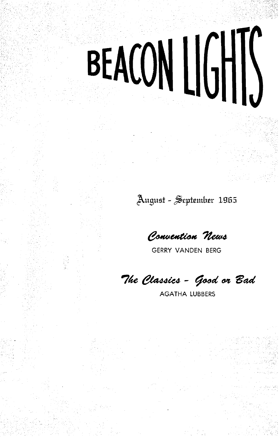# BEACON LIGHTS

August - September 1965

Convention News

**GERRY VANDEN BERG** 

The Classics - Good or Bad

**AGATHA LUBBERS**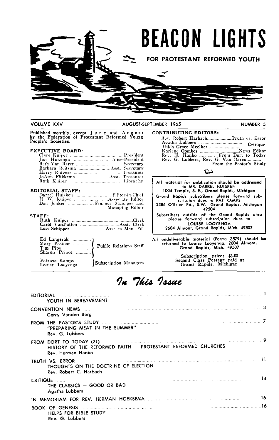

| <b>VOLUME XXV</b>                                                                                                                             |                 | AUGUST-SEPTEMBER 1965                                                                                                                                                                                                                                                                                                                                                                                                 | NUMBER 5                |
|-----------------------------------------------------------------------------------------------------------------------------------------------|-----------------|-----------------------------------------------------------------------------------------------------------------------------------------------------------------------------------------------------------------------------------------------------------------------------------------------------------------------------------------------------------------------------------------------------------------------|-------------------------|
| Published monthly, except June and August<br>by the Federation of Protestant Reformed Young<br>People's Societies.<br><b>EXECUTIVE BOARD:</b> |                 | <b>CONTRIBUTING EDITORS:</b><br>Rev. Robert HarbachTruth vs. Error<br>Rev. H. Hanko    From Dort to Today<br>Rev. G. Lubbers, Rev. G. Van Baren<br>$\bm{\varpi}$                                                                                                                                                                                                                                                      | From the Pastor's Study |
| EDITORIAL STAFF:<br>STAFF:                                                                                                                    | Managing Editor | All material for publication should be addressed<br>to MR. DARREL HUISKEN<br>1004 Temple, S. E., Grand Rapids, Michigan<br>Grand Rapids subscribers please forward sub-<br>scription dues to PAT KAMPS<br>2386 O'Brien Rd., S.W., Grand Rapids, Michigan<br>49504<br>Subscribers outside of the Grand Rapids area<br>please forward subscription dues to<br>LOUISE LOOYENGA<br>2604 Almont, Grand Rapids, Mich. 49507 |                         |
| Sharon Prince<br>Patricia Kamps  Subscription Managers<br>Louise Looyenga  Subscription Managers                                              |                 | All undeliverable material (Forms 3579) should be<br>returned to Louise Looyenga, 2604 Almont,<br>Grand Rapids, Mich. 49507<br>Subscription price: \$3.00<br>Second Class Postage paid at<br>Grand Rapids, Michigan                                                                                                                                                                                                   |                         |

### In This Issue

| <b>EDITORIAL Example 2016 CONTRACT CONTRACT CONTRACT CONTRACT CONTRACT CONTRACT CONTRACT CONTRACT CONTRACT CONTRACT CONTRACT CONTRACT CONTRACT CONTRACT CONTRACT CONTRACT CONTRACT CONTRACT CONTRACT CONTRACT CONTRACT CONTR</b><br>YOUTH IN BEREAVEMENT                         |  |
|----------------------------------------------------------------------------------------------------------------------------------------------------------------------------------------------------------------------------------------------------------------------------------|--|
| CONVENTION NEWS <b>Example 2018</b> 2014 12:00:00 12:00:00 12:00:00 12:00:00 12:00:00 12:00:00 12:00:00 12:00:00 12:00:00 12:00:00 12:00:00 12:00:00 12:00:00 12:00:00 12:00:00 12:00:00 12:00:00 12:00:00 12:00:00 12:00:00 12:00:<br>Gerry Vanden Berg                         |  |
| "PREPARING MEAT IN THE SUMMER"<br>Rev. G. Lubbers                                                                                                                                                                                                                                |  |
| HISTORY OF THE REFORMED FAITH -- PROTESTANT REFORMED CHURCHES<br>Rev. Herman Hanko                                                                                                                                                                                               |  |
| TRUTH VS. ERROR <b>ERROR</b> 2004 CONTROL 2004 CONTROL 2004 CONTROL 2004 CONTROL 2004 CONTROL 2004<br>THOUGHTS ON THE DOCTRINE OF ELECTION<br>Rev. Robert C. Harbach                                                                                                             |  |
| <b>CRITIQUE All the CRITIQUE CONTRACT CONTRACT AND THE CONTRACT OF A CONTRACT OF A CONTRACT OF A CONTRACT OF A CONTRACT OF A CONTRACT OF A CONTRACT OF A CONTRACT OF A CONTRACT OF A CONTRACT OF A CONTRACT OF A CONTRACT OF</b><br>THE CLASSICS - GOOD OR BAD<br>Agatha Lubbers |  |
|                                                                                                                                                                                                                                                                                  |  |
| HELPS FOR BIBLE STUDY<br>Rev. G. Lubbers                                                                                                                                                                                                                                         |  |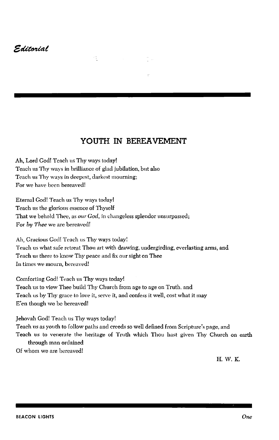#### Editorial

Ò,

#### **YOUTH IN BEREAVEMENT**

Ah, Lord God! Teach us Thy ways today! Teach us Thy ways in brilliance of glad jubilation, but also Teach us Thy ways in deepest, darkest mourning; For we have been bereaved!

Eternal God! Teach us Thy ways today! Teach us the glorious essence of Thyself That we behold Thee, as *our God*, in changeless splendor unsurpassed; For by *Thee* we are bereaved!

Ah, Gracious God! Teach us Thy ways today! Teach us what safe retreat Thou art with drawing, undergirding, everlasting arms, and Teach us there to know Thy peace and fix our sight on Thee In times we mourn, bereaved!

Comforting God! Teach us Thy ways today! Teach us to view Thee build Thy Church from age to age on Truth. and Teach us by Thy grace to love it, serve it, and confess it well, cost what it may E'en though we be bereaved!

Jehovah God! Teach us Thy ways today! Teach us as youth to follow paths and creeds so well defined from Scripture's page, and Teach us to venerate the heritage of Truth which Thou hast given Thy Church on earth through man ordained Of whom we are bereaved!

H. **LV.** K.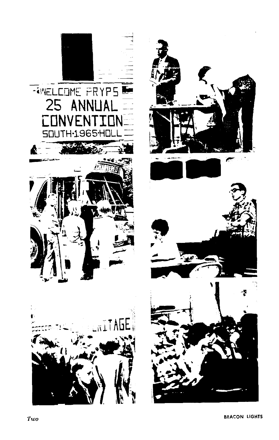



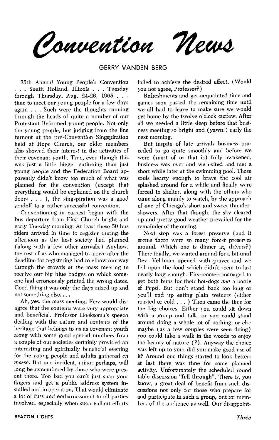News Ponvention

#### **GERRY VANDEN BERG**

25th Annual Young People's Convention ... South Holland, Illinois ... Tuesday through Thursday, Aug. 24-26, 1965 . . . time to meet our young people for a few days again . . . Such were the thoughts running through the heads of quite a number of our Protestant Reformed young people. Not only the young people, but judging from the fine turnout at the pre-Convention Singspiration held at Hope Church, our older members also showed their interest in the activities of their covenant youth. True, even though this was just a little bigger gathering than just young people and the Federation Board apparently didn't know too much of what was planned for the convention (except that everything would be explained on the church doors  $\ldots$  ), the singspiration was a good sendoff to a rather successful convention.

Conventioning in earnest began with the bus departure from First Church bright and early Tuesday morning. At least these 50 bus riders arrived in time to register during the afternoon as the host society had planned (along with a few other arrivals.) Anyhow, the rest of us who managed to arrive after the deadline for registering had to elbow our way through the crowds at the mass meeting to receive our big blue badges on which someone had erroneously printed the wrong dates. Good thing it was only the days mixed up and not something else....

Ah, yes, the mass meeting. Few would disagree that the contents were very appropriate and beneficial. Professor Hocksema's speech dealing with the nature and contents of the heritage that belongs to us as covenant youth along with some good special numbers from a couple of our societies certainly provided an interesting and spiritually beneficial evening for the young people and adults gathered en masse. But one incident, minor perhaps, will long be remembered by those who were present there. Too bad you can't just snap your fingers and get a public address system installed and in operation. That would eliminate a lot of fuss and embarrassment to all parties involved, especially when such gallant efforts

failed to achieve the desired effect. (Would you not agree, Professor?)

Refreshments and get-acquainted time and games soon passed the remaining time until we all had to leave to make sure we would get home by the twelve o'clock curfew. After all we needed a little sleep before that business meeting so bright and (yawn!) early the next morning.

But inspite of late arrivals business proceded to go quite smoothly and before we were (most of us that is) fully awakened, business was over and we exited and met a short while later at the swimming pool. Those souls hearty enough to brave the cool air splashed around for a while and finally were forced to shelter, along with the others who came along mainly to watch, by the approach of one of Chicago's short and sweet thundershowers. After that though, the sky cleared up and pretty good weather prevailed for the remainder of the outing.

Next stop was a forest preserve (and it seems there were so many forest preserves around. Which one is dinner at, drivers?) There finally, we waited around for a bit until Rev. Veldman opened with prayer and we fell upon the food which didn't seem to last nearly long enough. First-comers managed to get both buns for their hot-dogs and a bottle of Pepsi. But don't stand back too long or you'll end up eating plain weiners (either roasted or cold . . . ) Then came the time for the big choices. Either you could sit down with a group and talk, or you could stand around doing a whole lot of nothing, or else maybe (as a few couples were seen doing) you could take a walk in the woods to enjoy the beauty of nature  $(?)$ . Anyway the choice was left up to you; did you make good use of it? Around one things started to look better: at last there was time for some planned activity. Unfortunately the scheduled round table discussion "fell through". There is, you know, a great deal of benefit from such discussions not only for those who prepare for and participate in such a group, but for members of the audience as well. Our disappoint-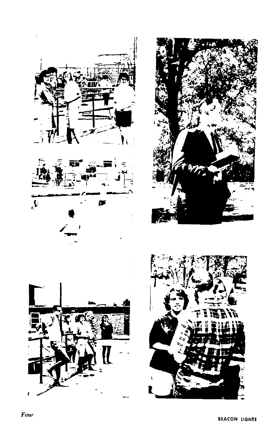







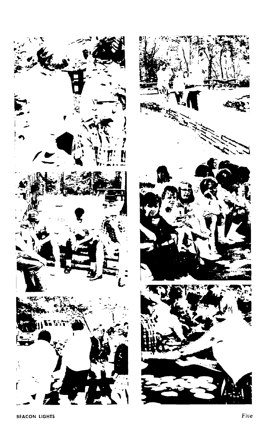

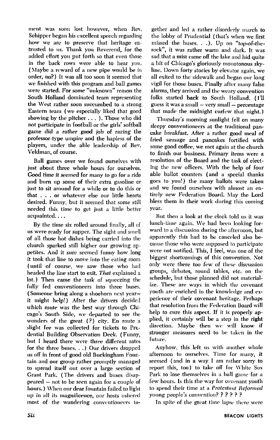ment was soon lost however, when Rev. Schipper began his excellent speech regarding how we are to preserve that heritage entnrsted to us. Thank you Reverend, for the added effort you put forth so that even those in the back rows were able to hear you. (Maybe a reward of a new pipe would be in order, no?) It was all too soon it seemed that we finished with this program and ball games were started. For some "unknown" reason the South Holland dominated team representing the West rather soon succumbed to a strong Eastern team (we especially liked that good showing by the pitcher . . . ). Those who did not participate in football or the girls' softball game did a rather good job of razing the professor-type umpire and the hapless of the players, under the able leadership of Rev. \'eldnian, of course.

Ball games over we found ourselves with just about three whole hours for ourselves. Good time it seemed for many to go for a ride and burn up some of their extra gasoline or just to sit around for a while or to do this or that . . . or whatever else our little hearts desired. Funny, but it seemed that some still needed this time to get just a little better acquainted. . . .

By the time six rolled around finally, all of us were ready for supper. The sight and smell of all those hot dishes being carried into the church sparked still higher our growing appetites. And it sure seemed funny how long it took that line to move into the eating room (until of course, we saw those who had headed the line start to exit. That explained a lot.) Then came the task of squeezing the fully fed conventioneers into three buses. (Someone bring along a shoehorn nest yearit might help!) After the drivers decided which route was the best way through Chicago's South Side, we departed to see the wonders of the great (?) city. En route a slight fee was collected for tickets to Prudential Building Observation Deck. (Funny, but I heard there were three different rates for the three buses. . .) Our drivers dropped us off in front of good old Buckingham Fountain and our group rather promptly managed to spreatl itself out over a large section of Grant Park. (The drivers and buses disap $peared$  – not to be seen again for a couple of hours.) When our dear fountain failed to light up in all its magnificence, our hosts ushered most of the wandering conventioneers to-

gether and led a rather disorderly march to the lobby of Prudential (that's when we first missed **the** buses. . .). **Up** on "lop-of-therock", it was rather warm and dark. It was sad that a mist came off the lake and hid quite a hit of Chicago's gloriously monotonous skyline. Down forty stories by elevator again, we all exited to the sidewalk and began our long vigil for those buses. Finally after many false alarms, they arrived and the weary convention folks started back to South Holland. (I'll guess it was a small  $-$  very small  $-$  percentage that made the midnight curfew that night.)

Thursday's morning sunlight fell on many sleepy conventioneers at the traditional pancake breakfast. After a rather good meal of fried sausage and pancakes fortified with some good coffee, we met again at the church to finish our business. Primary items were a resolution of the Board and the task of electing the new officers. \Vith the help of four able ballot counters (and a special thanks goes to you!) the many ballots were taken and we found ourselves with almost an entirely new Federation Board. May the Lord hless them in their work during this coming year.

But then a look at the clock told us it was lunch-time again. We had been looking forward to a discussion during the afternoon, but apparently this had to be canceled also because those who were supposed to participate were not notified. This, I feel, was one of the biggest shortcomings of this convention. Sot only were there too few of these discussion groups, debates, round tables, etc. on the schedule, but those planned did not materialize. These are ways in which the covenant youth are enriched in the knowledge and experience of their covenant heritage. Perhaps that resolution from the Federation Board will help to cure this aspect. If it is properly applied, it certainly will be a step in the right direction. Maybe then we will know if stronger measures need to be taken in the future.

Anyhow, this left us with another whole afternoon to ourselves. Time for many, it seemed (and in a way I am rather sorry to report this, too) to take off for White Sox Park to lose themselves in a ball game for a few hours. Is this the way for covenant youth to spend their time at a Protestant Reformed young people's convention?  $? ? ? ? ?$ 

In spite of the great time lapse there were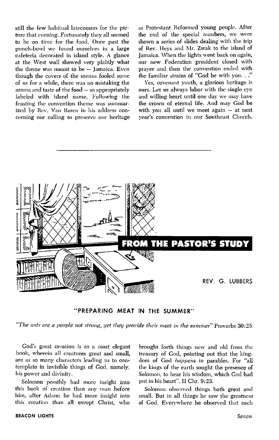still the few habitual latecomers for the pichure that evening. Fortunately they all seemed to be on time for the food. Once past the punch-bowl we found ourselves in a large cafeteria decorated in island style. **A** glance at the West wall showed very plainly what the theme was meant to be -- Jamaica. Even though the covers of the menus fooled some of us for a while, there was no mistaking the aroma and taste of the food — so appropriately labeled with island name. Following the feasting the convention theme was summarized by Rev. Van Baren in his address concerning our calling to preserve our heritage

as Protestant Reformed young people. After the end of the special numbers, we were shown a series of slides dealing with the trip of Rev. Heys and Mr. Zwak to the island of Jamaica. When the lights went back on again, our new Federation president closed with prayer and then the convention ended with **tho** familiar strains of "God be with you. . ."

Yes, covenant youth, a glorious heritage is ours. Let us always labor \vith the single eye and willing heart until one day we may have the crown of eternal life. And may God be with you all until we meet again  $-$  at next year's convention in onr Southeast Church.



#### **"PREPARING MEAT IN THE SUMMER"**

"The ants are a people not strong, yet they provide their meat in the summer" Proverbs 30:25

God's great creation is as a most elegant book, wherein all creatures great and small, are as so many characters leading us to contemplate in invisible things of Cod. namely. his power and divinity.

Solomon possibly had more insight into this book of creation than any man before him, after Adam; he had more insight into this creation than all except Christ, who brought forth things ne\v and old from thc treasury of God, pointing out that the kingdom of God happens in parables. For "all the kings of the earth sought the presence of Solomon, to hear his wisdom, which God had put in his heart". II Chr. 9:23.

Solomon observed things both great and small. But in all things he saw the greatness of God. Everywhere he observed that each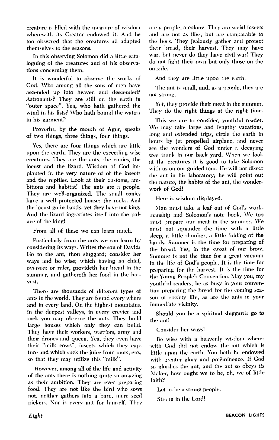creature is filled with the measure of wisdom wherewith its Creator endowed it. And he too observed that the creatures all adapted themselves to the seasons.

In this observing Solomon did a little cataloguing of the creatures and of his observations concerning them.

It is wonderful to observe the works of God. Who among all the sons of men have ascended up into heaven and descended? Astronauts? They are still on the earth in "outer space". Yea, who hath gathered the wind in his fists? Who hath bound the waters in his garment?

Proverbs, by the mouth of Agur, speaks of two things, three things, four things.

Yes, there are four things which are little upon the earth. They are the exceeding wise creatures. They are the ants, the conies, the locust and the lizard. Wisdom of God implanted in the very nature of of the insects and the reptiles. Look at their customs, ambitions and habitat! The ants are a people. They are well-organized. The small conies have a well protected house: the rocks. And the locust go in bands, yet they have not king. And the lizard ingratiates itself into the palace of the king!

From all of these we can learn much.

Particularly from the ants we can learn by considering its ways. Writes the son of David: Go to the ant, thou sluggard; consider her ways and be wise; which having no chief, overseer or ruler, provideth her bread in the summer, and gathereth her food in the harvest.

There are thousands of different types of ants in the world. They are found every where and in every land. On the highest mountains, in the deepest valleys, in every crevice and rock you may observe the ants. They build large houses which only they can build. They have their workers, warriors, army and their drones and queen. Yea, they even have their "milk cows", insects which they capture and which suck the juice from roots, etc., so that they may utilize this "milk".

However, among all of the life and activity of the ants there is nothing quite so amazing as their ambition. They are ever preparing food. They are not like the bird who sows not, neither gathers into a barn, mere seed pickers. Nor is every ant for himself. They

are a people, a colony. They are social insects and are not as flies, but are comparable to the bees. They jealously gather and protect their bread, their harvest. They may have war, but never do they have civil war! They do not fight their own but only those on the outside.

And they are little upon the earth.

The ant is small, and, as a people, they are not strong.

Yet, they provide their meat in the summer. They do the right things at the right time.

This we are to consider, youthful reader. We may take large and lengthy vacations, long and extended trips, circle the earth in hours by jet propelled airplane, and never see the wonders of God under a decaying tree trunk in our back yard. When we look at the creatures it is good to take Solomon with us on our guided tour. He will not disect the ant in his laboratory; he will point out the nature, the habits of the ant, the wonderwork of God!

Here is wisdom displayed.

Man must take a leaf out of God's workmanship and Solomon's note book, We too must prepare our meat in the summer. We must not squander the time with a little sleep, a little slumber, a little folding of the hands. Summer is the time for preparing of the bread. Yes, in the sweat of our brow. Summer is not the time for a great vacuum in the life of God's people. It is the time for preparing for the harvest. It is the time for the Young People's Convention. May you, my youthful readers, be as busy in your convention preparing the bread for the coming season of society life, as are the ants in your immediate vicinity.

Should you be a spiritual sluggard: go to the ant!

Consider her ways!

Be wise with a heavenly wisdom wherewith God did not endow the ant which is little upon the earth. You hath he endowed with greater glory and preëminence. If God so glorifies the ant, and the ant so obeys its Maker, how ought we to be, oh, we of little faith?

Let us be a strong people.

Strong in the Lord!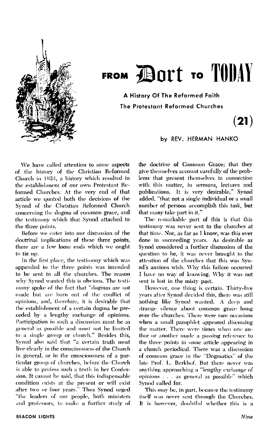

## FROM **BOLL** TO TODAY

A History Of The Reformed Faith The Protestant Reformed Churches

 $(21)$ 

by REV. HERMAN HANKO

We have called attention to some aspects of the history of the Christian Reformed Church in 1924, a history which resulted in the establishment of our own Protestant Reformed Churches. At the very end of that article we quoted both the decisions of the Synod of the Christian Reformed Church concerning the dogma of common grace, and the testimony which that Synod attached to the three points.

Before we enter into our discussion of the doctrinal implications of these three points, there are a few loose ends which we ought to tie un.

In the first place, the testimony which was appended to the three points was intended to be sent to all the churches. The reason why Synod wanted this is obvious. The testimony spoke of the fact that "dogmas are not made but are born out of the conflict of opinions, and, therefore, it is desirable that the establishment of a certain dogma be preceded by a lengthy exchange of opinions. Participation in such a discussion must be as general as possible and must not be limited to a single group or church." Besides this, Synod also said that "a certain truth must live clearly in the consciousness of the Church in general, or in the consciousness of a particular group of churches, before the Church is able to profess such a truth in her Confession. It cannot be said, that this indispensable condition exists at the present or will exist after two or four years." Thus Synod urged "the leaders of our people, both ministers and professors, to make a further study of the doctrine of Common Grace: that they give themselves account carefully of the problems that present themselves in connection with this matter, in sermons, lectures and publications. It is very desirable," Synod added, "that not a single individual or a small number of persons accomplish this task, but that many take part in it."

The remarkable part of this is that this testimony was never sent to the churches at that time. Nor, as far as I know, was this ever done in succeeding years. As desirable as Synod considered a further discussion of the question to be, it was never brought to the attention of the churches that this was Synod's anxious wish. Why this failure occurred I have no way of knowing. Why it was not sent is lost in the misty past.

However, one thing is certain. Thirty-five years after Synod decided this, there was still nothing like Synod wanted. A deep and strange silence about common grace hung over the churches. There were rare occasions when a small pamphlet appeared discussing the matter. There were times when one author or another made a passing reference to the three points in some article appearing in a church periodical. There was a discussion of common grace in the "Dogmatics" of the late Prof. L. Berkhof. But there never was anything approaching a "lengthy exchange of opinions . . . as general as possible" which Synod called for.

This may be, in part, because the testimony itself was never sent through the Churches. It is however, doubtful whether this is a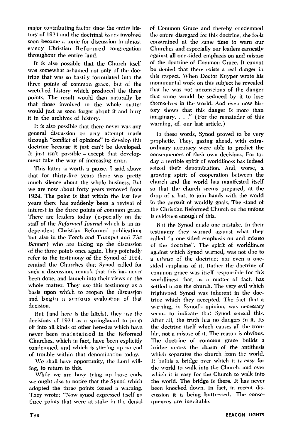major contributing factor since the cntire history of 1924 and the doctrinal issues involved soon became a topic for discussion in almost every Christian Reformed congregation throughout the entire land.

It is **also** possible that the Church itself was somewhat ashamed not only of the doctrine that was so hastily formulated into the three points of common grace, hut of the wretched history which produced the three points. The result would then naturally be that those involved in the whole matter would just as soon forget about it and bury it in the archives of history.

It **is** also possible that there never was any general discussion or any attempt made through "conflict of opinions" to develop this doctrine because it just can't be developed. It just isn't possible  $-$  except that development take the way of increasing error.

This latter is worth a pause. I said above that for thirty-five years there was pretty much silence about the whole business. But we are now about forty years removed from **1924.** The point is that **within** the last few years there has suddenly been a revival of interest in the three points of common grace. There are leaders today (especinlly on the staff of the *Reformed Journal* which is an independent Christian Reformed publication; but also in the Torch and Trumpet and The Banner) who are taking up the discussion of the three points once again. They pointedly refer to the testimony of the Synod of 1924, remind the Churches that Synod called for such a discussion, remark that this has never been done, and launch into their views on the whole matter. They use this testimony as a basis upon which to reopen the discussion and begin a serious evaluation of that decision.

But (and here is the hitch), they use the decisions of 1924 as a springboard to jump off into all kinds of other heresies which have never been maintained in the Reformed Churches, which in fact, have been esplicitly condemned, and which is stirring up no end of trouble within that denomination today.

We shall have opportunity, the Lord willing, to return to this.

\Vhile \ve arc. **busy tying** up loose ends, we ought also to notice that the Synod which adopted the three points issued a warning. They wrote: "Now synod expressed itself on three points that were at stake in the denial of Common Grace and thereby condemned the entire disregard for this doctrine, she feels constrained at the same time to warn our Chwches and especially our leaders earnestly against all one-sided emphasis on and misuse of the doctrine of Common Grace. It cannot be denied that there exists a real danger in this respect. When Doctor Kuyper wrote his monumental work on this subject he revealed that he was not unconscious of the danger that some would be seduced by it to lose themselves in the world. And even now history shows that this danger is more than in~;~gi~mry. . . ." (For the remainder of this warning, cf. our last article.)

In these words, Synod proved to be very prophetic. They, gazing ahead, with extraordinary accuracy were able to predict the consequences of their own decisions. For today a terrible spirit of worldliness has indeed seized their denomination. And, worse, a growing spirit of cooperation between the church and the world has manifested itself so that the church seems prepared, at the drop of a hat, to join hands with the world in the pursuit of worldly goals. The stand of the Christian Reformed Church on the unions is evidence enough of this.

But the Synod made one mistake. In their testimony they warned against what they called "a one-sided emphasis on and misuse of the doctrine". The spirit of worldliness against which Synod warned, was not due to a *misuse* of the doctrine; nor even a onesided emphasis of it. Rather the doctrine of common grace was itself responsible for this worldliness that, as a matter of fact, has settled upon the church. The very evil which frightcmed **Synod** was inherent in the **doc**trine which they accepted. The fact that a warning, in Synod's opinion, was necessary seems to indicate that Synod sensed this. After all, the truth has no dangers in it. Its the doctrine itself which causes all the trouble, not a misuse of it. The reason is obvious. The doctrine of common grace builds a bridge across the chasm of the antithesis which separates the church from the world. It builds a bridge over which it is easy for the world to walk into the Church, and over which it is easy for the Church to walk into tho \vorld. The bridge is there. **It** has never been knocked down. In fact, in recent discussion it is being buttressed. The conscquences are inevitable.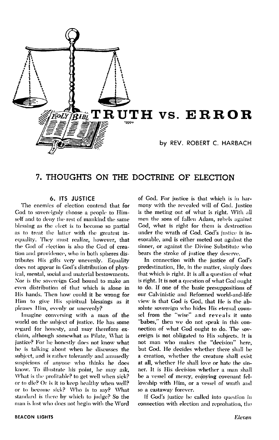

#### 7. THOUGHTS ON THE DOCTRINE OF ELECTION

#### 6. ITS JUSTICE

The enemies of election contend that for God to sovereignly choose a people to Himself and to deny the rest of mankind the same blessing as the elect is to become so partial as to treat the latter with the greatest inequality. They must realize, however, that the God of election is also the God of creation and providence, who in both spheres distributes His gifts very unevenly. Equality does not appear in God's distribution of physical, mental, social and material bestowments. Nor is the sovereign God bound to make an even distribution of that which is alone in His hands. Then how could it be wrong for Him to give His spiritual blessings as it pleases Him, evenly or unevenly?

Imagine conversing with a man of the world on the subject of justice. He has some regard for honesty, and may therefore exclaim, although somewhat as Pilate, What is justice? For he honestly does not know what he is talking about when he discusses the subject, and is rather tolerantly and amusedly suspicious of anyone who thinks he does know. To illustrate his point, he may ask, What is the profitable? to get well when sick? or to die? Or is it to keep healthy when well? or to become sick? Who is to say? What standard is there by which to judge? So the man is lost who does not begin with the Word

of God. For justice is that which is in harmony with the revealed will of God, Justice is the meting out of what is right. With all men the sons of fallen Adam, rebels against God, what is right for them is destruction under the wrath of God. God's justice is inexorable, and is either meted out against the sinner, or against the Divine Substitute who bears the stroke of justice they deserve.

In connection with the justice of God's predestination, He, in the matter, simply does that which is right. It is all a question of what is right. It is not a question of what God ought to do. If one of the basic presuppositions of our Calvinistic and Reformed world-and-life view is that God is God, that He is the absolute sovereign who hides His eternal counsel from the "wise" and reveals it unto "babes," then we do not speak in this connection of what God ought to do. The sovereign is not obligated to His subjects. It is not man who makes the "decision" here, but God. He decides whether there shall be a creation, whether the creature shall exist at all, whether He shall love or hate the sinner. It is His decision whether a man shall be a vessel of mercy, enjoying covenant fellowship with Him, or a vessel of wrath and so a castaway forever.

If God's justice be called into question in connection with election and reprobation, the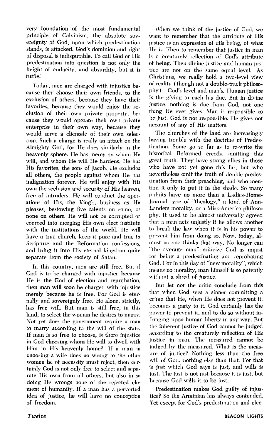very foundation of the most fundamental principle of Calvinism, the absolute sovereignty of God, upon which predestination stands, is attacked. God's dominion and right of disposal is indisputable. To call God or His predestination into question is not only the height of audacity, and absurdity, but it is futile!

Today, men are charged with injustice because they choose their own friends, to the exclusion of others, because they have their favorites, because they would enjoy the seclusion of their own private property, because they would operate their own private enterprise in their own way, because they would serve a clientele of their own selection. Such a charge is really an attack on the Almighty God, for He does similarly in the heavenly sphere. He has mercy on whom He will, and whom He will He hardens. He has His favorites, the sons of Jacob, He excludes all others, the people against whom He has indignation forever. He will enjoy with His own the seclusion and security of His heaven, free of intruders. He will conduct the operations of His, the King's, business as He pleases, bestowing five talents on some, or none on others. He will not be corrupted or coerced into merging His own elect institute with the institutions of the world. He will have a true church, keep it pure and true to Scripture and the Reformation confessions, and bring it into His eternal kingdom quite separate from the society of Satan.

In this country, men are still free. But if God is to be charged with injustice because He is the God of election and reprobation, then man will soon be charged with injustice merely because he is free. For God is eternally and sovereignly free. He alone, strictly, has free will. But man is still free, in this land, to select the woman he desires to marry. Not yet does the government require a man to marry according to the will of the state. If man is so free to choose, is there injustice in God choosing whom He will to dwell with Him in His heavenly home? If a man in choosing a wife does no wrong to the other women he of necessity must reject, then certainly God is not only free to select and separate His own from all others, but also in so doing He wrongs none of the rejected element of humanity. If a man has a perverted idea of justice, he will have no conception of freedom.

When we think of the justice of God, we want to remember that the attribute of His justice is an expression of His being, of what He is. Then to remember that justice in man is a creaturely reflection of God's attribute of being. Then divine justice and human justice are not on the same equal level. As Christians, we really hold a two-level view of reality (though not a double-track philosophy) – God's level and man's. Human justice is the giving to each his due. But in divine justice, nothing is due from God, not one thing He ever gives. Man is responsible to be just. God is not responsible. He gives not account of any of His matters.

The churches of the land are increasingly having trouble with the doctrine of Predestination. Some go so far as to re-write the historical Reformed creeds. omitting this great truth. They have strong allies in those who have not yet gone this far, but who nevertheless omit the truth of double predestination from their preaching, and who mention it only to put it in the shade. So many pulpits have no more than a Ladies-Home-Journal type of "theology," a kind of Ann-Landers morality, or a Miss-America philosophy. It used to be almost universally agreed that a man acts unjustly if he allows another to break the law when it is in his power to prevent him from doing so. Now, today, almost no one thinks that way. No longer can "the average man" criticize God as unjust for being a predestinating and reprobating God. For in this day of "new morality", which means no morality, man himself is so patently without a shred of justice.

But let not the critic conclude from this that when God sees a sinner committing a crime that He, when He does not prevent it, becomes a party to it. God certainly has the power to prevent it, and to do so without infringing upon human liberty in any way. But the inherent justice of God cannot be judged according to the creaturely reflection of His justice in man. The measured cannot be judged by the measured. What is the measure of justice? Nothing less than the free will of God; nothing else than that. For that is just which God says is just, and wills is just. The just is not just because it is just, but because God wills it to be just.

Predestination makes God guilty of injustice? So the Arminian has always contended. Yet except for God's predestination and elec-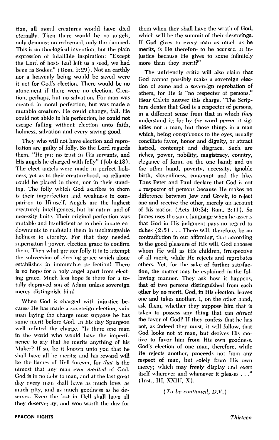tion, all moral creatures would have died eternally. Then there would be no angels. only demons: no redeemed, only the damned. This is no theological invention, but the plain expression of infallible inspiration: "Except the Lord of hosts had left us a seed, we had been as Sodom" (Rom. 9:29). Not an earthly nor a heavenly being would be saved were it not for God's election. There would be no atonement if there were no election. Creation, perhaps, but no salvation. For man was created in moral perfection, but was made a mutable creature. He could change, fall. He could not abide in his perfection, he could not escape falling without election unto faith, holiness, salvation and every saving good.

They who will not have election and reprobation are guilty of folly. So the Lord regards them. "He put no trust in His servants, and His angels he charged with folly" (Job 4:18). The elect angels were made in perfect holiness, yet as to their creaturehood, no reliance could be placed in them, nor in their standing. The folly which God ascribes to them is their imperfection and weakness in comparison to Himself. Angels are the highest creaturely intelligences, but by nature and of necessity finite. Their original perfection was mutable and insufficient as to their innate endowments to maintain them in unchangeable holiness to eternity. For that they needed supernatural power, election grace to confirm them. Then what greater folly it is to attempt the subversion of electing grace which alone establishes in immutable perfection! There is no hope for a holy angel apart from electing grace. Much less hope is there for a totally depraved son of Adam unless sovereign mercy distinguish him!

When God is charged with injustice because He has made a sovereign election, vain man laying the charge must suppose he has some merit before God. In his day Spurgeon well refuted the charge. "Is there one man in the world who would have the impertinence to say that he merits anything of his Maker? If so, be it known unto you that he shall have all he merits; and his reward will be the flames of Hell forever, for *that* is the utmost that any man ever merited of God. God is in no debt to man, and at the last great day every man shall have as much love, as much pity, and as much goodness as he deserves. Even the lost in Hell shall have all they deserve; ay, and woe worth the day for

them when they shall have the wrath of God, which will be the summit of their deservings. If God gives to every man as much as he merits, is He therefore to be accused of injustice because He gives to some infinitely more than they merit?"

The unfriendly critic will also claim that God cannot possibly make a sovereign election of some and a sovereign reprobation of others, for He is "no respecter of persons." Hear Calvin answer this charge. "The Scripture denies that God is a respecter of persons, in a different sense from that in which they understand it; for by the word person it signifies not a man, but those things in a man which, being conspicuous to the eyes, usually conciliate favor, honor and dignity, or attract hatred, contempt and disgrace. Such are riches, power, nobility, magistracy, country, elegance of form, on the one hand; and on the other hand, poverty, necessity, ignoble birth, slovenliness, contempt and the like. Thus Peter and Paul declare that God is not a respecter of persons because He makes no difference between Jew and Greek, to reject one and receive the other, merely on account of his nation (Acts  $10:34$ ; Rom.  $2:11$ ). So James uses the same language when he asserts that God in His judgment pays no regard to riches  $(2:5)$ ... There will, therefore, be no contradiction in our affirming, that according to the good pleasure of His will. God chooses whom He will as His children, irrespective of all merit, while He rejects and reprobates others. Yet, for the sake of further satisfaction, the matter may be explained in the following manner. They ask how it happens, that of two persons distinguished from each other by no merit, God, in His election, leaves one and takes another. I, on the other hand, ask them, whether they suppose him that is taken to possess any thing that can *attract* the favor of God? If they confess that he has not, as indeed they must, it will follow, that God looks not at man, but derives His motive to favor him from His own goodness. God's election of one man, therefore, while He rejects another, proceeds not from any respect of man, but solely from His own mercy; which may freely display and exert itself wherever and whenever it pleases . . ." (Inst., III, XXIII, X).

(To be continued,  $D.V.$ )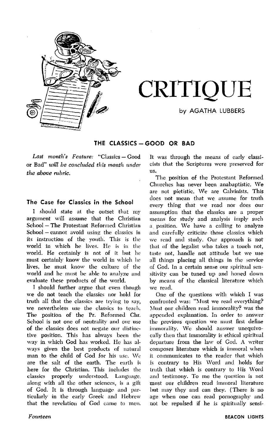

## CRITIQUE

#### by **AGATHA** LUBBERS

## **THE CLASSICS** - **GOOD OR BAD**

Last month's Feature: "Classics - Good  $or$  Bad" *will be concluded this month under the above rubric.* 

#### **The Case for Classics in the School**

I should state at the outset that my argument will assume that the Christian<br>School – The Protestant Reformed Christian School – The Protestant Reformed Christian<br>School – cannot avoid using the classics in its instruction of the youth. This is the world in which he lives. He is in the world. He certainly is not of it but he must certainly know the world in which he lives, he must know the culture of the world and he must be able to analyze and evaluate these products of the world.

I should further argue that even though we do not teach the classics nor hold for truth all that the classics are trying to say, we nevertheless use the classics to teach. The position of the Pr. Reformed Chr. School is not one of neutrality and our use of the classics does not negate our distinctive position. This has always been the way in which God has worked. He has always given the best products of natural man to **the** child of God for his usc. **\Vc**  are the salt of the earth. The earth is here for the Christian. This includes the classics properly understood. Language, along with all the other sciences, is a gift of God. It is through language and particularly in the early Greek and Hebrew that the revelation of God came to men. It was through the means of early classicists that the Scriptures were preserved for US.

The position of the Protestant Reformed Churches has never been anabaptistic. We arc not pietistic. We are Calvinists. This does not mean that we assume for truth every thing that \ve read nor does our assumption that the classics are a proper means for study and analysis imply such a position. We have a calling to analyze and carefully criticize those classics which **\vc** read and study. Our approach is not that of the legalist who takes a touch not, taste not, handle not attitude but we use all things placing all things in the service of God. In a certain sense our spiritual sensitivity can be tuned up and honed down by means of the classical literature which we read.

One of the questions with which I was confronted was: "Must we read everything? Must our children read immorality? was the appended explanation. In order to answer the previous question we must first define immorality. We should answer unequivocally then that immorality is ethical spiritual cleparture from the latry of God. **A** writer composes literature which is immoral when it communicates to the reader that which is contrary to His Word and holds for truth that which is contrary to His Word and testimony. To me the question is not must our children read immoral literature but may they and can they. (There is no age when one can read pornography and not be repulsed if he is spiritually sensi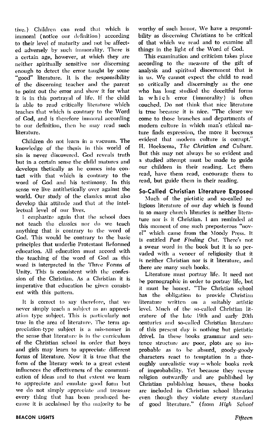tive.) Children can read that which is immoral (notice our definition) according to their level of maturity and not be affected adversely by such immorality. There is a certain age, however, at which they are neither spiritually sensitive nor discerning enough to detect the error taught by some "good" literature. It is the responsibility of the discerning teacher and the parent to point out the error and show it for what it is in this portrayal of life. If the child is able to read critically literature which teaches that which is contrary to the Word of God, and is therefore immoral according to our definition, then he may read such literature.

Children do not learn in a vacuum. The knowledge of the thesis in this world of sin is never discovered. God reveals truth but in a certain sense the child matures and develops thetically as he comes into contact with that which is contrary to the word of God and his testimony. In this sense we live antithetically over against the world. Our study of the classics must also develop this attitude and that at the intellectual level of our lives.

I emphasize again that the school does not teach the classics nor do we teach anything that is contrary to the word of God. This would be contrary to the basic principles that underlie Protestant Reformed education. All education must accord with the teaching of the word of God as this word is interpreted in the Three Forms of Unity. This is consistent with the confession of the Christian. As a Christian it is imperative that education be given consistent with this pattern.

It is correct to say therefore, that we never simply teach a subject as an appreciation type subject. This is particularly not true in the area of literature. The term appreciation-type subject is a mis-nomer in the sense that literature is in the curriculum of the Christian school in order that boys and girls may learn to appreciate different forms of literature. Now it is true that the form of the literary work to a great extent influences the effectiveness of the communication of ideas and to that extent we learn to appreciate and emulate good form but we do not simply appreciate and treasure every thing that has been produced because it is acclaimed by the majority to be

**BEACON LIGHTS** 

worthy of such honor. We have a responsibility as discerning Christians to be critical of that which we read and to examine all things in the light of the Word of God.

This examination and criticism takes place according to the measure of the gift of analysis and spiritual discernment that is in us. We cannot expect the child to read so critically and discerningly as the one who has long studied the deceitful forms which error (immorality) is often in couched. Do not think that nice literature is true because it is nice. "The closer we come to those branches and departments of modern culture in which man's ethical nature finds expression, the more it becomes evident that modern culture is corrupt," H. Hoeksema, The Christian and Culture. But this may not always be so evident and a studied attempt must be made to guide our children in their reading. Let them read, have them read, encourage them to read, but guide them in their reading.

#### So-Called Christian Literature Exposed

Much of the pictistic and so-called religious literature of our day which is found in so many church libraries is neither literature nor is it Christian. I am reminded at this moment of one such preposterous "novel" which came from the Moody Press. It is entitled Past Finding Out. There's not a swear word in the book but it is so pervaded with a vencer of religiosity that it is neither Christian nor is it literature, and there are many such books.

Literature must portray life. It need not be pornographic in order to portray life, but it must be honest. "The Christian school has the obligation to provide Christian literature written on a suitably artistic level. Much of the so-called Christian literature of the late 19th and early 20th centuries and so-called Christian literature of this present day is nothing but pietistic drivel. In these books grammar and sentence structure are poor, plots are so improbable as to be absurd, goody-goody characters react to temptation in a thoroughly unrealistic way—whole books reek of improbability. Yet because they revere religion outwardly and are published by Christian publishing houses, these books are included in Christian school libraries even though they violate every standard of good literature." (from High School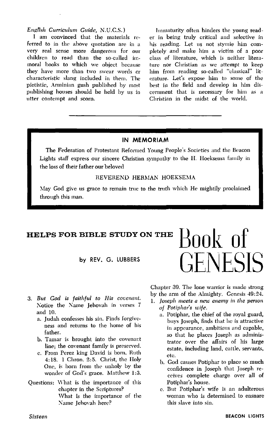#### English Curriculum Guide, N.U.C.S.)

I am convinced that the materials referred to in the above quotation are in a very real sense more dangerous for our children to read than the so-called immoral books to which we object because they have more than two swear words or characteristic slang included in them. The pietistic, Arminian gush published by most publishing houses should be held by us in utter contempt and scorn.

Immaturity often hinders the young reader in being truly critical and selective in his reading. Let us not stymie him completely and make him a victim of a poor class of literature, which is neither literature nor Christian as we attempt to keep him from reading so-called "classical" literature. Let's expose him to some of the best in the field and develop in him discernment that is necessary for him as a Christian in the midst of the world.

#### IN MEMORIAM

The Federation of Protestant Reformed Young People's Societies and the Beacon Lights staff express our sincere Christian sympathy to the H. Hoeksema family in the loss of their father our beloved

#### REVEREND HERMAN HOEKSEMA

May God give us grace to remain true to the truth which He mightily proclaimed through this man.

#### HELPS FOR BIBLE STUDY ON THE

by REV. G. LUBBERS

- 3. But God is faithful to His covenant. Notice the Name Jehovah in verses 7 and 10.
	- a. Judah confesses his sin. Finds forgiveness and returns to the home of his father.
	- b. Tamar is brought into the covenant line; the covenant family is preserved.
	- c. From Perez king David is born. Ruth  $4:18$ , 1 Chron,  $2:5$ . Christ, the Holy One, is born from the unholy by the wonder of God's grace. Matthew 1:3.
- Questions: What is the importance of this chapter in the Scriptures? What is the importance of the Name Jehovah here?

# Kook of GENESIS

Chapter 39. The lone warrior is made strong by the arm of the Almighty. Genesis 49:24.

- 1. Joseph meets a new enemy in the person of Potiphar's wife.
	- a. Potiphar, the chief of the royal guard, buys Joseph, finds that he is attractive in appearance, ambitious and capable, so that he places Joseph as administrator over the affairs of his large estate, including land, cattle, servants, etc.
	- b. God causes Potiphar to place so much confidence in Joseph that Joseph receives complete charge over all of Potiphar's house.
	- c. But Potiphar's wife is an adulterous woman who is determined to ensnare this slave into sin.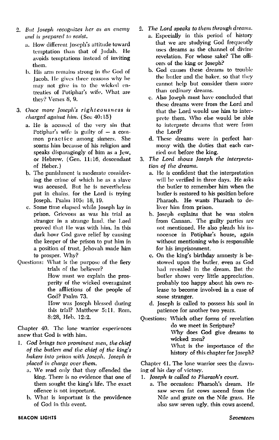- 2. But Joseph recognizes her as an enemy and is prepared to resist.
	- a. How different Joseph's attitude toward temptation than that of Judah. He avoids temptations instead of inviting them.
	- b. His arm remains strong in the God of Jacob. He gives three reasons why he may not give in to the wicked entreaties of Potiphar's wife. What are they? Verses 8, 9.
- 3. Once more Joseph's righteousness is charged against him. (Sec 40:15)
	- a. He is accused of the very sin that Potiphar's wife is guilty of  $-$  a common practice among sinners. She scorns him because of his religion and speaks disparagingly of him as a Jew, or Hebrew. (Gen. 11:16, descendant of Heber.)
	- b. The punishment is moderate considering the crime of which he as a slave was accused. But he is nevertheless put in chains, for the Lord is trying Joseph. Psalm 105: 18, 19.
	- c. Some time elapsed while Joseph lay in prison. Grievous as was his trial as stranger in a strange land, the Lord proved that He was with him. In this dark hour God gave relief by causing the keeper of the prison to put him in a position of trust. Jehovah made him to prosper, Why?
- Questions: What is the purpose of the fiery trials of the believer? How must we explain the prosperity of the wicked overagainst the afflictions of the people of God? Psalm 73. How was Joseph blessed during this trial? Matthew 5:11. Rom. 8:28, Heb. 12:2.

Chapter 40. The lone warrior experiences anew that God is with him.

- 1. God brings two prominent men, the chief of the butlers and the chief of the king's bakers into prison with Joseph. Joseph is placed in charge over them.
	- a. We read only that they offended the king. There is no evidence that one of them sought the king's life. The exact offence is not important.
	- b. What is important is the providence of God in this event.
- The Lord speaks to them through dreams.  $\overline{2}$ .
	- a. Especially in this period of history that we are studying God frequently uses dreams as the channel of divine revelation. For whose sake? The officers of the king or Joseph?
	- b. God causes these dreams to trouble the butler and the baker, so that they cannot help but consider them more than ordinary dreams.
	- c. Also Joseph must have concluded that these dreams were from the Lord and that the Lord would use him to interprete them. Who else would be able to interprete dreams that were from the Lord?
	- d. These dreams were in perfect harmony with the duties that each carried out before the king.
- 3. The Lord shows Joseph the interpretation of the dreams.
	- a. He is confident that the interpretation will be verified in three days. He asks the butler to remember him when the butler is restored to his position before Pharaoh. He wants Pharaoh to deliver him from prison.
	- b. Joseph explains that he was stolen from Canaan. The guilty parties are not mentioned. He also pleads his innocence in Potiphar's house, again without mentioning who is responsible for his imprisonment.
	- c. On the king's birthday amnesty is bestowed upon the butler, even as God had revealed in the dream. But the butler shows very little appreciation, probably too happy about his own release to become involved in a case of some stranger.
	- d. Joseph is called to possess his soul in patience for another two years.
- Ouestions: Which other forms of revelation do we meet in Scripture? Why does God give dreams to wicked men? What is the importance of the history of this chapter for Joseph?

Chapter 41. The lone warrior sees the dawning of his day of victory.

- 1. Joseph is called to Pharaoh's court.
	- a. The occasion: Pharaoh's dream. He saw seven fat cows ascend from the Nile and graze on the Nile grass. He also saw seven ugly, thin cows ascend,